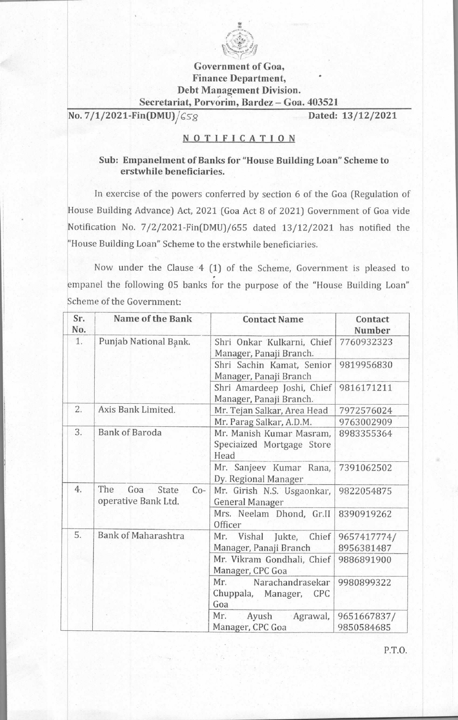

## **Government of Goa, Finance Department, Debt Management Division. Secretariat, Porvorim, Bardez — Goa. 403521**

**No. 7/1/2021-Fin(DMU)/** $\zeta$ **Sg Dated: 13/12/2021** 

## **NOTIFICATION**

## **Sub: Empanelment of Banks for "House Building Loan" Scheme to erstwhile beneficiaries.**

In exercise of the powers conferred by section 6 of the Goa (Regulation of House Building Advance) Act, 2021 (Goa Act 8 of 2021) Government of Goa vide Notification No. 7/2/2021-Fin(DMU)/655 dated 13/12/2021 has notified the "House Building Loan" Scheme to the erstwhile beneficiaries.

Now under the Clause 4 (1) of the Scheme, Government is pleased to empanel the following 05 banks for the purpose of the "House Building Loan" Scheme of the Government:

| Sr.<br>No. | <b>Name of the Bank</b>                             | <b>Contact Name</b>                                                | Contact<br><b>Number</b>  |
|------------|-----------------------------------------------------|--------------------------------------------------------------------|---------------------------|
| 1.         | Punjab National Bank.                               | Shri Onkar Kulkarni, Chief<br>Manager, Panaji Branch.              | 7760932323                |
|            |                                                     | Shri Sachin Kamat, Senior<br>Manager, Panaji Branch                | 9819956830                |
|            |                                                     | Shri Amardeep Joshi, Chief<br>Manager, Panaji Branch.              | 9816171211                |
| 2.         | Axis Bank Limited.                                  | Mr. Tejan Salkar, Area Head                                        | 7972576024                |
|            |                                                     | Mr. Parag Salkar, A.D.M.                                           | 9763002909                |
| 3.         | <b>Bank of Baroda</b>                               | Mr. Manish Kumar Masram,<br>Speciaized Mortgage Store<br>Head      | 8983355364                |
|            |                                                     | Mr. Sanjeev Kumar Rana,<br>Dy. Regional Manager                    | 7391062502                |
| 4.         | The<br>Goa<br>State<br>$Co-$<br>operative Bank Ltd. | Mr. Girish N.S. Usgaonkar,<br>General Manager                      | 9822054875                |
|            |                                                     | Mrs. Neelam Dhond, Gr.II<br>Officer                                | 8390919262                |
| 5.         | <b>Bank of Maharashtra</b>                          | Mr.<br>Vishal<br>Chief<br>Jukte,                                   | 9657417774/               |
|            |                                                     | Manager, Panaji Branch                                             | 8956381487                |
|            |                                                     | Mr. Vikram Gondhali, Chief<br>Manager, CPC Goa                     | 9886891900                |
|            |                                                     | Mr.<br>Narachandrasekar<br>Chuppala, Manager,<br><b>CPC</b><br>Goa | 9980899322                |
|            |                                                     | Mr.<br>Ayush<br>Agrawal,<br>Manager, CPC Goa                       | 9651667837/<br>9850584685 |

P.T.O.